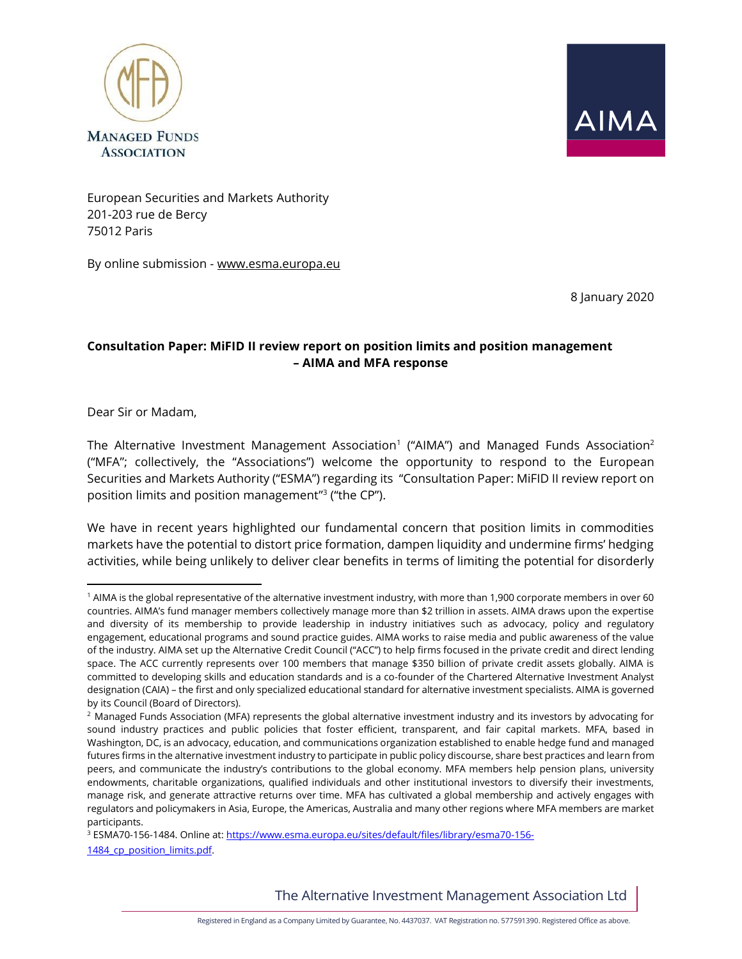



European Securities and Markets Authority 201-203 rue de Bercy 75012 Paris

By online submission - [www.esma.europa.eu](http://www.esma.europa.eu/) 

8 January 2020

# **Consultation Paper: MiFID II review report on position limits and position management – AIMA and MFA response**

Dear Sir or Madam,

The Alternative Investment Management Association $^1$  ("AIMA") and Managed Funds Association $^2$ ("MFA"; collectively, the "Associations") welcome the opportunity to respond to the European Securities and Markets Authority ("ESMA") regarding its "Consultation Paper: MiFID II review report on position limits and position management" 3 ("the CP").

We have in recent years highlighted our fundamental concern that position limits in commodities markets have the potential to distort price formation, dampen liquidity and undermine firms' hedging activities, while being unlikely to deliver clear benefits in terms of limiting the potential for disorderly

The Alternative Investment Management Association Ltd

<sup>1</sup> AIMA is the global representative of the alternative investment industry, with more than 1,900 corporate members in over 60 countries. AIMA's fund manager members collectively manage more than \$2 trillion in assets. AIMA draws upon the expertise and diversity of its membership to provide leadership in industry initiatives such as advocacy, policy and regulatory engagement, educational programs and sound practice guides. AIMA works to raise media and public awareness of the value of the industry. AIMA set up the Alternative Credit Council ("ACC") to help firms focused in the private credit and direct lending space. The ACC currently represents over 100 members that manage \$350 billion of private credit assets globally. AIMA is committed to developing skills and education standards and is a co-founder of the Chartered Alternative Investment Analyst designation (CAIA) – the first and only specialized educational standard for alternative investment specialists. AIMA is governed by its Council (Board of Directors).

<sup>&</sup>lt;sup>2</sup> Managed Funds Association (MFA) represents the global alternative investment industry and its investors by advocating for sound industry practices and public policies that foster efficient, transparent, and fair capital markets. MFA, based in Washington, DC, is an advocacy, education, and communications organization established to enable hedge fund and managed futures firms in the alternative investment industry to participate in public policy discourse, share best practices and learn from peers, and communicate the industry's contributions to the global economy. MFA members help pension plans, university endowments, charitable organizations, qualified individuals and other institutional investors to diversify their investments, manage risk, and generate attractive returns over time. MFA has cultivated a global membership and actively engages with regulators and policymakers in Asia, Europe, the Americas, Australia and many other regions where MFA members are market participants.

<sup>3</sup> ESMA70-156-1484. Online at[: https://www.esma.europa.eu/sites/default/files/library/esma70-156-](https://www.esma.europa.eu/sites/default/files/library/esma70-156-1484_cp_position_limits.pdf) [1484\\_cp\\_position\\_limits.pdf.](https://www.esma.europa.eu/sites/default/files/library/esma70-156-1484_cp_position_limits.pdf)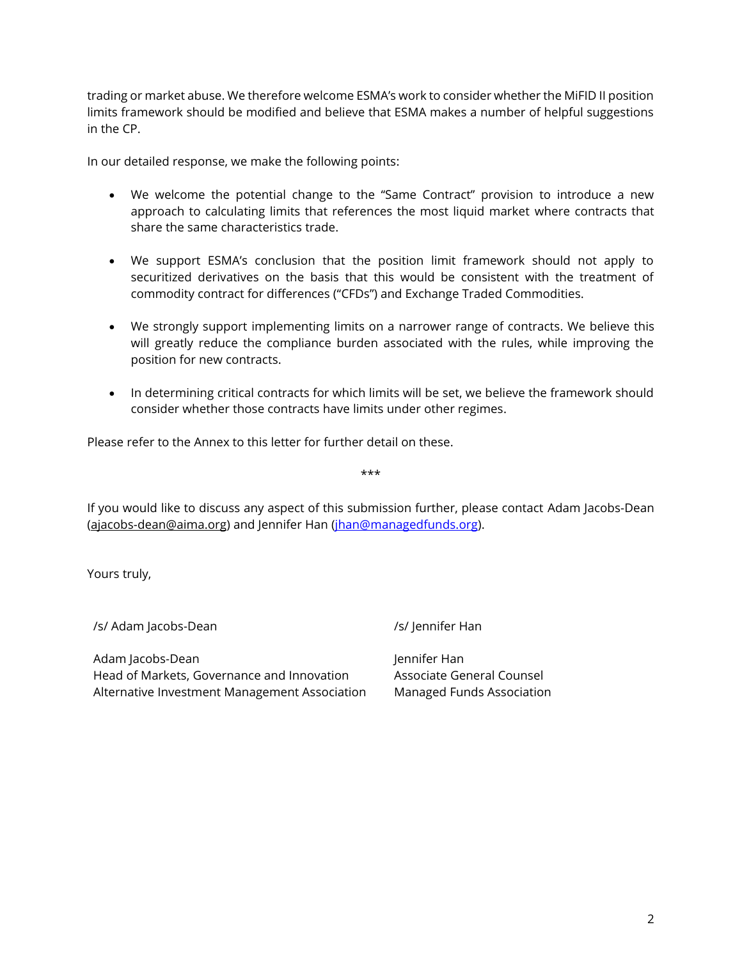trading or market abuse. We therefore welcome ESMA's work to consider whether the MiFID II position limits framework should be modified and believe that ESMA makes a number of helpful suggestions in the CP.

In our detailed response, we make the following points:

- We welcome the potential change to the "Same Contract" provision to introduce a new approach to calculating limits that references the most liquid market where contracts that share the same characteristics trade.
- We support ESMA's conclusion that the position limit framework should not apply to securitized derivatives on the basis that this would be consistent with the treatment of commodity contract for differences ("CFDs") and Exchange Traded Commodities.
- We strongly support implementing limits on a narrower range of contracts. We believe this will greatly reduce the compliance burden associated with the rules, while improving the position for new contracts.
- In determining critical contracts for which limits will be set, we believe the framework should consider whether those contracts have limits under other regimes.

Please refer to the Annex to this letter for further detail on these.

If you would like to discuss any aspect of this submission further, please contact Adam Jacobs-Dean [\(ajacobs-dean@aima.org\)](mailto:ajacobs-dean@aima.org) and Jennifer Han [\(jhan@managedfunds.org\)](mailto:jhan@managedfunds.org).

\*\*\*

Yours truly,

/s/ Adam Jacobs-Dean /s/ Jennifer Han

Adam Jacobs-Dean Head of Markets, Governance and Innovation Alternative Investment Management Association Jennifer Han Associate General Counsel Managed Funds Association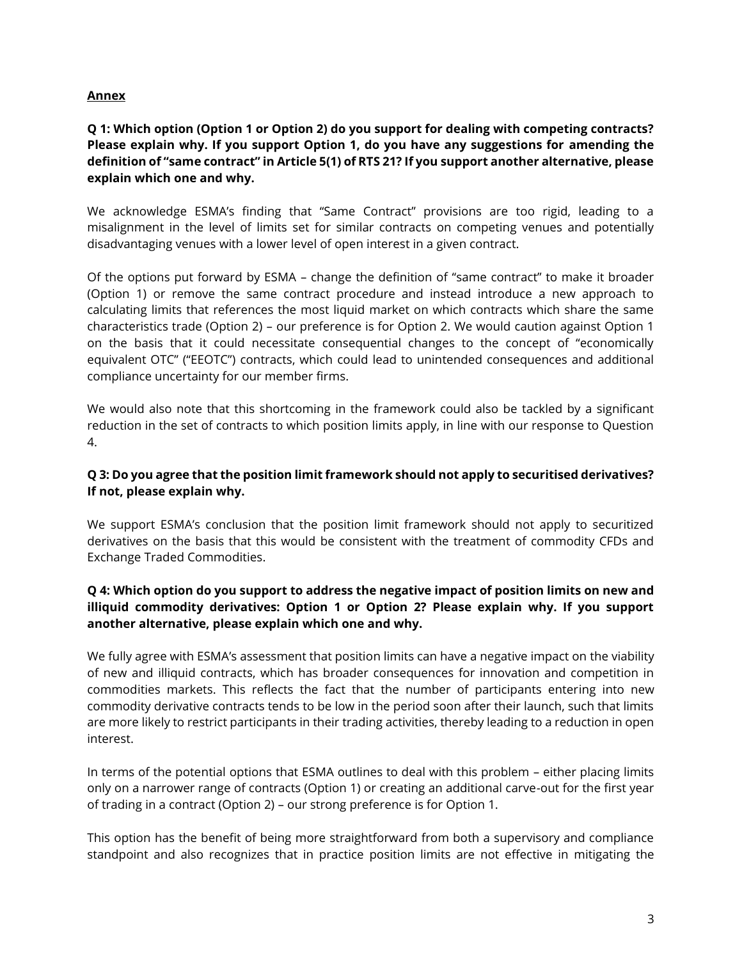#### **Annex**

## **Q 1: Which option (Option 1 or Option 2) do you support for dealing with competing contracts? Please explain why. If you support Option 1, do you have any suggestions for amending the definition of "same contract" in Article 5(1) of RTS 21? If you support another alternative, please explain which one and why.**

We acknowledge ESMA's finding that "Same Contract" provisions are too rigid, leading to a misalignment in the level of limits set for similar contracts on competing venues and potentially disadvantaging venues with a lower level of open interest in a given contract.

Of the options put forward by ESMA – change the definition of "same contract" to make it broader (Option 1) or remove the same contract procedure and instead introduce a new approach to calculating limits that references the most liquid market on which contracts which share the same characteristics trade (Option 2) – our preference is for Option 2. We would caution against Option 1 on the basis that it could necessitate consequential changes to the concept of "economically equivalent OTC" ("EEOTC") contracts, which could lead to unintended consequences and additional compliance uncertainty for our member firms.

We would also note that this shortcoming in the framework could also be tackled by a significant reduction in the set of contracts to which position limits apply, in line with our response to Question 4.

#### **Q 3: Do you agree that the position limit framework should not apply to securitised derivatives? If not, please explain why.**

We support ESMA's conclusion that the position limit framework should not apply to securitized derivatives on the basis that this would be consistent with the treatment of commodity CFDs and Exchange Traded Commodities.

## **Q 4: Which option do you support to address the negative impact of position limits on new and illiquid commodity derivatives: Option 1 or Option 2? Please explain why. If you support another alternative, please explain which one and why.**

We fully agree with ESMA's assessment that position limits can have a negative impact on the viability of new and illiquid contracts, which has broader consequences for innovation and competition in commodities markets. This reflects the fact that the number of participants entering into new commodity derivative contracts tends to be low in the period soon after their launch, such that limits are more likely to restrict participants in their trading activities, thereby leading to a reduction in open interest.

In terms of the potential options that ESMA outlines to deal with this problem – either placing limits only on a narrower range of contracts (Option 1) or creating an additional carve-out for the first year of trading in a contract (Option 2) – our strong preference is for Option 1.

This option has the benefit of being more straightforward from both a supervisory and compliance standpoint and also recognizes that in practice position limits are not effective in mitigating the